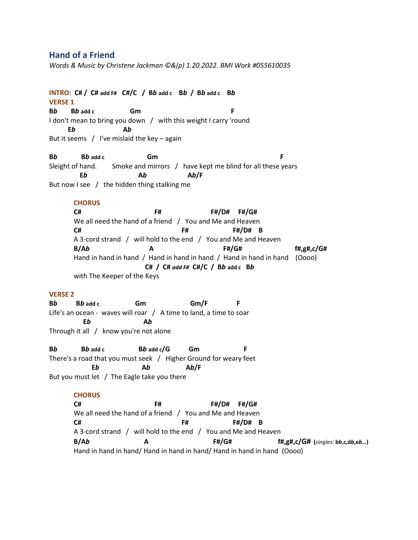# **Hand of a Friend**

*Words & Music by Christene Jackman ©&(p) 1.20.2022. BMI Work #055610035*

**INTRO: C# / C# add F# C#/C / B***b* **add c****B***b* **/ B***b* **add c****B***b*  **VERSE 1 B***b* **B***b* **add c Gm F** I don't mean to bring you down / with this weight I carry 'round  **E***b* **A***b*

But it seems  $/$  I've mislaid the key – again

**B***b* **B***b* **add c Gm F** Sleight of hand. Smoke and mirrors / have kept me blind for all these years  **E***b* **A***b* **A***b***/F** But now I see / the hidden thing stalking me

# **CHORUS**

**C# F# F#/D# F#/G#** We all need the hand of a friend / You and Me and Heaven **C# F# F#/D# B** A 3-cord strand / will hold to the end / You and Me and Heaven **B/A***b* **A F#/G# f#,g#,c/G#** Hand in hand in hand / Hand in hand in hand / Hand in hand in hand (Oooo)  **C# / C#** *add F#* **C#/C / B***b* **add c****B***b*  with The Keeper of the Keys

### **VERSE 2**

**B***b* **B***b* **add c Gm Gm/F F** Life's an ocean - waves will roar / A time to land, a time to soar  **E***b* **A***b*  Through it all / know you're not alone

**B***b* **B***b* **add c B***b* **add c/G Gm F** There's a road that you must seek / Higher Ground for weary feet  **E***b* **A***b* **A***b***/F** But you must let / The Eagle take you there

#### **CHORUS**

**C# F# F#/D# F#/G#** We all need the hand of a friend / You and Me and Heaven **C# F# F#/D# B** A 3-cord strand / will hold to the end / You and Me and Heaven **B/A***b* **A F#/G# f#,g#,c/G# (***singles:* **b***b***,c,d***b***,e***b…***)** Hand in hand in hand/ Hand in hand in hand/ Hand in hand in hand (Oooo)